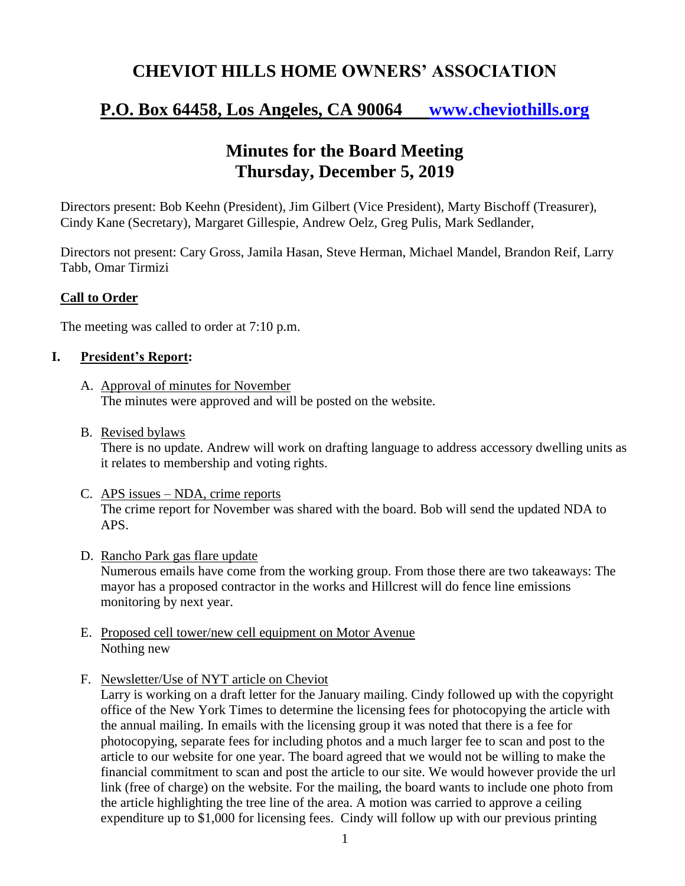## **CHEVIOT HILLS HOME OWNERS' ASSOCIATION**

# **P.O. Box 64458, Los Angeles, CA 90064 [www.cheviothills.org](http://www.cheviothills.org/)**

## **Minutes for the Board Meeting Thursday, December 5, 2019**

Directors present: Bob Keehn (President), Jim Gilbert (Vice President), Marty Bischoff (Treasurer), Cindy Kane (Secretary), Margaret Gillespie, Andrew Oelz, Greg Pulis, Mark Sedlander,

Directors not present: Cary Gross, Jamila Hasan, Steve Herman, Michael Mandel, Brandon Reif, Larry Tabb, Omar Tirmizi

#### **Call to Order**

The meeting was called to order at 7:10 p.m.

#### **I. President's Report:**

- A. Approval of minutes for November The minutes were approved and will be posted on the website.
- B. Revised bylaws

There is no update. Andrew will work on drafting language to address accessory dwelling units as it relates to membership and voting rights.

- C. APS issues NDA, crime reports The crime report for November was shared with the board. Bob will send the updated NDA to APS.
- D. Rancho Park gas flare update

Numerous emails have come from the working group. From those there are two takeaways: The mayor has a proposed contractor in the works and Hillcrest will do fence line emissions monitoring by next year.

- E. Proposed cell tower/new cell equipment on Motor Avenue Nothing new
- F. Newsletter/Use of NYT article on Cheviot

Larry is working on a draft letter for the January mailing. Cindy followed up with the copyright office of the New York Times to determine the licensing fees for photocopying the article with the annual mailing. In emails with the licensing group it was noted that there is a fee for photocopying, separate fees for including photos and a much larger fee to scan and post to the article to our website for one year. The board agreed that we would not be willing to make the financial commitment to scan and post the article to our site. We would however provide the url link (free of charge) on the website. For the mailing, the board wants to include one photo from the article highlighting the tree line of the area. A motion was carried to approve a ceiling expenditure up to \$1,000 for licensing fees. Cindy will follow up with our previous printing